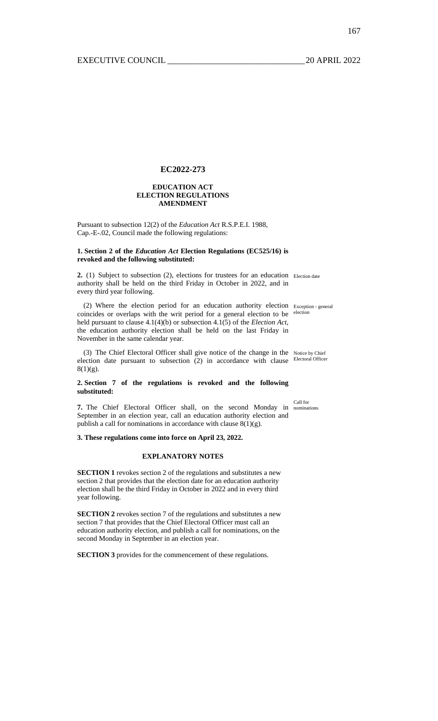# **EC2022-273**

#### **EDUCATION ACT ELECTION REGULATIONS AMENDMENT**

Pursuant to subsection 12(2) of the *Education Act* R.S.P.E.I. 1988, Cap.-E-.02, Council made the following regulations:

## **1. Section 2 of the** *Education Act* **Election Regulations (EC525/16) is revoked and the following substituted:**

2. (1) Subject to subsection (2), elections for trustees for an education Election date authority shall be held on the third Friday in October in 2022, and in every third year following.

(2) Where the election period for an education authority election coincides or overlaps with the writ period for a general election to be held pursuant to clause 4.1(4)(b) or subsection 4.1(5) of the *Election Act*, the education authority election shall be held on the last Friday in November in the same calendar year. Exception - general election

(3) The Chief Electoral Officer shall give notice of the change in the Notice by Chief election date pursuant to subsection (2) in accordance with clause Electoral Officer  $8(1)(g)$ .

# **2. Section 7 of the regulations is revoked and the following substituted:**

Call for

**7.** The Chief Electoral Officer shall, on the second Monday in nominations September in an election year, call an education authority election and publish a call for nominations in accordance with clause  $8(1)(g)$ .

**3. These regulations come into force on April 23, 2022.** 

## **EXPLANATORY NOTES**

**SECTION 1** revokes section 2 of the regulations and substitutes a new section 2 that provides that the election date for an education authority election shall be the third Friday in October in 2022 and in every third year following.

**SECTION 2** revokes section 7 of the regulations and substitutes a new section 7 that provides that the Chief Electoral Officer must call an education authority election, and publish a call for nominations, on the second Monday in September in an election year.

**SECTION 3** provides for the commencement of these regulations.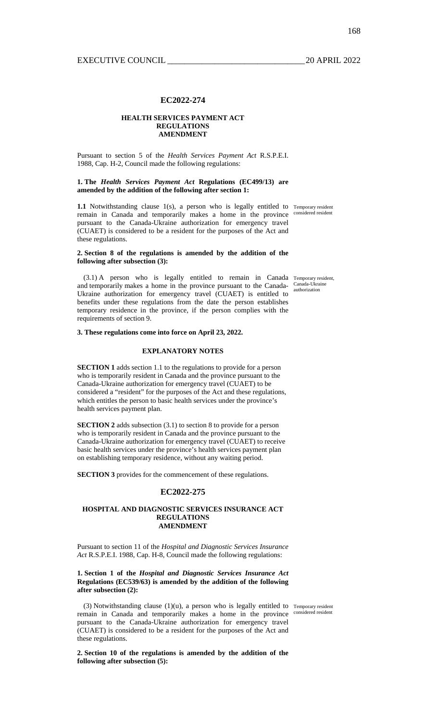#### **EC2022-274**

## **HEALTH SERVICES PAYMENT ACT REGULATIONS AMENDMENT**

Pursuant to section 5 of the *Health Services Payment Act* R.S.P.E.I. 1988, Cap. H-2, Council made the following regulations:

#### **1. The** *Health Services Payment Act* **Regulations (EC499/13) are amended by the addition of the following after section 1:**

**1.1** Notwithstanding clause 1(s), a person who is legally entitled to Temporary resident remain in Canada and temporarily makes a home in the province considered resident pursuant to the Canada-Ukraine authorization for emergency travel (CUAET) is considered to be a resident for the purposes of the Act and these regulations.

## **2. Section 8 of the regulations is amended by the addition of the following after subsection (3):**

(3.1) A person who is legally entitled to remain in Canada Temporary resident, and temporarily makes a home in the province pursuant to the Canada-Canada-Ukraine Ukraine authorization for emergency travel (CUAET) is entitled to benefits under these regulations from the date the person establishes temporary residence in the province, if the person complies with the requirements of section 9.

## **3. These regulations come into force on April 23, 2022.**

# **EXPLANATORY NOTES**

**SECTION 1** adds section 1.1 to the regulations to provide for a person who is temporarily resident in Canada and the province pursuant to the Canada-Ukraine authorization for emergency travel (CUAET) to be considered a "resident" for the purposes of the Act and these regulations, which entitles the person to basic health services under the province's health services payment plan.

**SECTION 2** adds subsection (3.1) to section 8 to provide for a person who is temporarily resident in Canada and the province pursuant to the Canada-Ukraine authorization for emergency travel (CUAET) to receive basic health services under the province's health services payment plan on establishing temporary residence, without any waiting period.

**SECTION 3** provides for the commencement of these regulations.

#### **EC2022-275**

#### **HOSPITAL AND DIAGNOSTIC SERVICES INSURANCE ACT REGULATIONS AMENDMENT**

Pursuant to section 11 of the *Hospital and Diagnostic Services Insurance Act* R.S.P.E.I. 1988, Cap. H-8, Council made the following regulations:

**1. Section 1 of the** *Hospital and Diagnostic Services Insurance Act* **Regulations (EC539/63) is amended by the addition of the following after subsection (2):** 

 $(3)$  Notwithstanding clause  $(1)(u)$ , a person who is legally entitled to Temporary resident remain in Canada and temporarily makes a home in the province considered resident pursuant to the Canada-Ukraine authorization for emergency travel (CUAET) is considered to be a resident for the purposes of the Act and these regulations.

**2. Section 10 of the regulations is amended by the addition of the following after subsection (5):** 

authorization